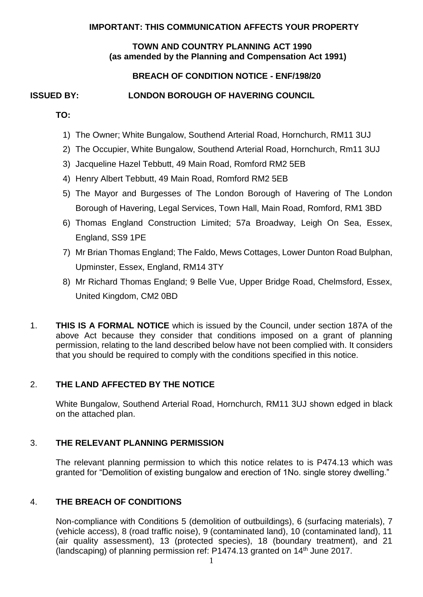### **IMPORTANT: THIS COMMUNICATION AFFECTS YOUR PROPERTY**

### **TOWN AND COUNTRY PLANNING ACT 1990 (as amended by the Planning and Compensation Act 1991)**

# **BREACH OF CONDITION NOTICE - ENF/198/20**

# **ISSUED BY: LONDON BOROUGH OF HAVERING COUNCIL**

**TO:** 

- 1) The Owner; White Bungalow, Southend Arterial Road, Hornchurch, RM11 3UJ
- 2) The Occupier, White Bungalow, Southend Arterial Road, Hornchurch, Rm11 3UJ
- 3) Jacqueline Hazel Tebbutt, 49 Main Road, Romford RM2 5EB
- 4) Henry Albert Tebbutt, 49 Main Road, Romford RM2 5EB
- 5) The Mayor and Burgesses of The London Borough of Havering of The London Borough of Havering, Legal Services, Town Hall, Main Road, Romford, RM1 3BD
- 6) Thomas England Construction Limited; 57a Broadway, Leigh On Sea, Essex, England, SS9 1PE
- 7) Mr Brian Thomas England; The Faldo, Mews Cottages, Lower Dunton Road Bulphan, Upminster, Essex, England, RM14 3TY
- 8) Mr Richard Thomas England; 9 Belle Vue, Upper Bridge Road, Chelmsford, Essex, United Kingdom, CM2 0BD
- 1. **THIS IS A FORMAL NOTICE** which is issued by the Council, under section 187A of the above Act because they consider that conditions imposed on a grant of planning permission, relating to the land described below have not been complied with. It considers that you should be required to comply with the conditions specified in this notice.

# 2. **THE LAND AFFECTED BY THE NOTICE**

 White Bungalow, Southend Arterial Road, Hornchurch, RM11 3UJ shown edged in black on the attached plan.

# 3. **THE RELEVANT PLANNING PERMISSION**

 The relevant planning permission to which this notice relates to is P474.13 which was granted for "Demolition of existing bungalow and erection of 1No. single storey dwelling."

# 4. **THE BREACH OF CONDITIONS**

 Non-compliance with Conditions 5 (demolition of outbuildings), 6 (surfacing materials), 7 (vehicle access), 8 (road traffic noise), 9 (contaminated land), 10 (contaminated land), 11 (air quality assessment), 13 (protected species), 18 (boundary treatment), and 21 (landscaping) of planning permission ref: P1474.13 granted on 14<sup>th</sup> June 2017.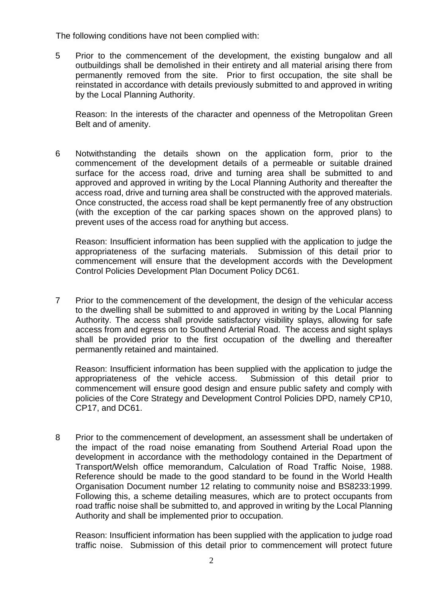The following conditions have not been complied with:

 5 Prior to the commencement of the development, the existing bungalow and all outbuildings shall be demolished in their entirety and all material arising there from permanently removed from the site. Prior to first occupation, the site shall be reinstated in accordance with details previously submitted to and approved in writing by the Local Planning Authority.

 Reason: In the interests of the character and openness of the Metropolitan Green Belt and of amenity.

 6 Notwithstanding the details shown on the application form, prior to the commencement of the development details of a permeable or suitable drained surface for the access road, drive and turning area shall be submitted to and approved and approved in writing by the Local Planning Authority and thereafter the access road, drive and turning area shall be constructed with the approved materials. Once constructed, the access road shall be kept permanently free of any obstruction (with the exception of the car parking spaces shown on the approved plans) to prevent uses of the access road for anything but access.

 Reason: Insufficient information has been supplied with the application to judge the appropriateness of the surfacing materials. Submission of this detail prior to commencement will ensure that the development accords with the Development Control Policies Development Plan Document Policy DC61.

 7 Prior to the commencement of the development, the design of the vehicular access to the dwelling shall be submitted to and approved in writing by the Local Planning Authority. The access shall provide satisfactory visibility splays, allowing for safe access from and egress on to Southend Arterial Road. The access and sight splays shall be provided prior to the first occupation of the dwelling and thereafter permanently retained and maintained.

 Reason: Insufficient information has been supplied with the application to judge the appropriateness of the vehicle access. Submission of this detail prior to commencement will ensure good design and ensure public safety and comply with policies of the Core Strategy and Development Control Policies DPD, namely CP10, CP17, and DC61.

 8 Prior to the commencement of development, an assessment shall be undertaken of the impact of the road noise emanating from Southend Arterial Road upon the development in accordance with the methodology contained in the Department of Transport/Welsh office memorandum, Calculation of Road Traffic Noise, 1988. Reference should be made to the good standard to be found in the World Health Organisation Document number 12 relating to community noise and BS8233:1999. Following this, a scheme detailing measures, which are to protect occupants from road traffic noise shall be submitted to, and approved in writing by the Local Planning Authority and shall be implemented prior to occupation.

 Reason: Insufficient information has been supplied with the application to judge road traffic noise. Submission of this detail prior to commencement will protect future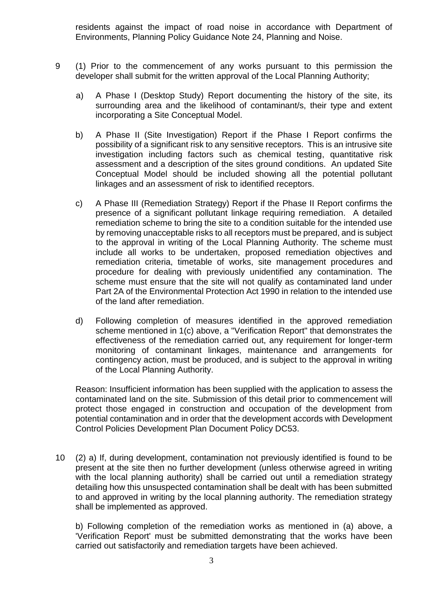residents against the impact of road noise in accordance with Department of Environments, Planning Policy Guidance Note 24, Planning and Noise.

- 9 (1) Prior to the commencement of any works pursuant to this permission the developer shall submit for the written approval of the Local Planning Authority;
	- a) A Phase I (Desktop Study) Report documenting the history of the site, its surrounding area and the likelihood of contaminant/s, their type and extent incorporating a Site Conceptual Model.
	- b) A Phase II (Site Investigation) Report if the Phase I Report confirms the possibility of a significant risk to any sensitive receptors. This is an intrusive site investigation including factors such as chemical testing, quantitative risk assessment and a description of the sites ground conditions. An updated Site Conceptual Model should be included showing all the potential pollutant linkages and an assessment of risk to identified receptors.
	- c) A Phase III (Remediation Strategy) Report if the Phase II Report confirms the presence of a significant pollutant linkage requiring remediation. A detailed remediation scheme to bring the site to a condition suitable for the intended use by removing unacceptable risks to all receptors must be prepared, and is subject to the approval in writing of the Local Planning Authority. The scheme must include all works to be undertaken, proposed remediation objectives and procedure for dealing with previously unidentified any contamination. The scheme must ensure that the site will not qualify as contaminated land under Part 2A of the Environmental Protection Act 1990 in relation to the intended use remediation criteria, timetable of works, site management procedures and of the land after remediation.
	- d) Following completion of measures identified in the approved remediation scheme mentioned in 1(c) above, a "Verification Report" that demonstrates the effectiveness of the remediation carried out, any requirement for longer-term monitoring of contaminant linkages, maintenance and arrangements for contingency action, must be produced, and is subject to the approval in writing of the Local Planning Authority.

 Reason: Insufficient information has been supplied with the application to assess the contaminated land on the site. Submission of this detail prior to commencement will protect those engaged in construction and occupation of the development from potential contamination and in order that the development accords with Development Control Policies Development Plan Document Policy DC53.

 10 (2) a) If, during development, contamination not previously identified is found to be present at the site then no further development (unless otherwise agreed in writing with the local planning authority) shall be carried out until a remediation strategy detailing how this unsuspected contamination shall be dealt with has been submitted to and approved in writing by the local planning authority. The remediation strategy shall be implemented as approved.

 b) Following completion of the remediation works as mentioned in (a) above, a 'Verification Report' must be submitted demonstrating that the works have been carried out satisfactorily and remediation targets have been achieved.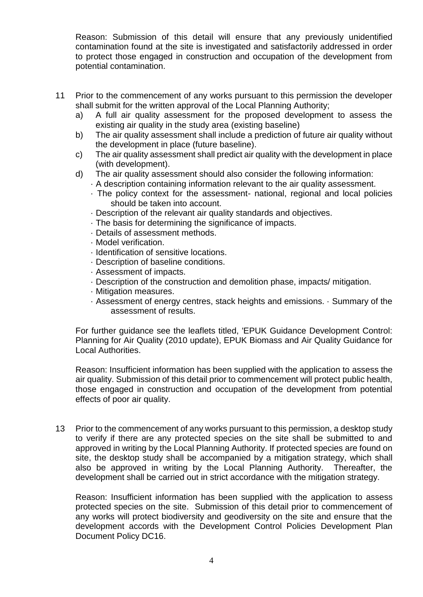Reason: Submission of this detail will ensure that any previously unidentified contamination found at the site is investigated and satisfactorily addressed in order to protect those engaged in construction and occupation of the development from potential contamination.

- 11 Prior to the commencement of any works pursuant to this permission the developer shall submit for the written approval of the Local Planning Authority;
	- a) A full air quality assessment for the proposed development to assess the existing air quality in the study area (existing baseline)
	- b) The air quality assessment shall include a prediction of future air quality without the development in place (future baseline).
	- c) The air quality assessment shall predict air quality with the development in place (with development).
	- d) The air quality assessment should also consider the following information:
		- · A description containing information relevant to the air quality assessment.
		- · The policy context for the assessment- national, regional and local policies should be taken into account.
		- · Description of the relevant air quality standards and objectives.
		- · The basis for determining the significance of impacts.
		- · Details of assessment methods.
		- · Model verification.
		- · Identification of sensitive locations.
		- · Description of baseline conditions.
		- · Assessment of impacts.
		- · Description of the construction and demolition phase, impacts/ mitigation.
		- · Mitigation measures.
		- · Assessment of energy centres, stack heights and emissions. · Summary of the assessment of results.

 For further guidance see the leaflets titled, 'EPUK Guidance Development Control: Planning for Air Quality (2010 update), EPUK Biomass and Air Quality Guidance for Local Authorities.

 Reason: Insufficient information has been supplied with the application to assess the air quality. Submission of this detail prior to commencement will protect public health, those engaged in construction and occupation of the development from potential effects of poor air quality.

 13 Prior to the commencement of any works pursuant to this permission, a desktop study to verify if there are any protected species on the site shall be submitted to and approved in writing by the Local Planning Authority. If protected species are found on site, the desktop study shall be accompanied by a mitigation strategy, which shall also be approved in writing by the Local Planning Authority. Thereafter, the development shall be carried out in strict accordance with the mitigation strategy.

 Reason: Insufficient information has been supplied with the application to assess protected species on the site. Submission of this detail prior to commencement of any works will protect biodiversity and geodiversity on the site and ensure that the development accords with the Development Control Policies Development Plan Document Policy DC16.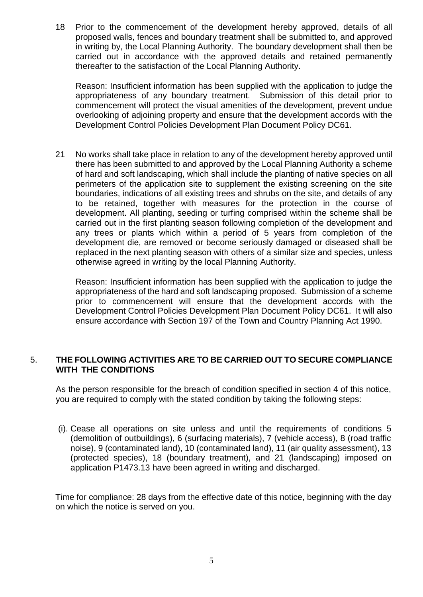18 Prior to the commencement of the development hereby approved, details of all in writing by, the Local Planning Authority. The boundary development shall then be carried out in accordance with the approved details and retained permanently proposed walls, fences and boundary treatment shall be submitted to, and approved thereafter to the satisfaction of the Local Planning Authority.

 Reason: Insufficient information has been supplied with the application to judge the appropriateness of any boundary treatment. Submission of this detail prior to commencement will protect the visual amenities of the development, prevent undue overlooking of adjoining property and ensure that the development accords with the Development Control Policies Development Plan Document Policy DC61.

 21 No works shall take place in relation to any of the development hereby approved until there has been submitted to and approved by the Local Planning Authority a scheme of hard and soft landscaping, which shall include the planting of native species on all perimeters of the application site to supplement the existing screening on the site boundaries, indications of all existing trees and shrubs on the site, and details of any to be retained, together with measures for the protection in the course of development. All planting, seeding or turfing comprised within the scheme shall be carried out in the first planting season following completion of the development and any trees or plants which within a period of 5 years from completion of the development die, are removed or become seriously damaged or diseased shall be replaced in the next planting season with others of a similar size and species, unless otherwise agreed in writing by the local Planning Authority.

 Reason: Insufficient information has been supplied with the application to judge the appropriateness of the hard and soft landscaping proposed. Submission of a scheme prior to commencement will ensure that the development accords with the Development Control Policies Development Plan Document Policy DC61. It will also ensure accordance with Section 197 of the Town and Country Planning Act 1990.

#### 5. **THE FOLLOWING ACTIVITIES ARE TO BE CARRIED OUT TO SECURE COMPLIANCE WITH THE CONDITIONS**

 As the person responsible for the breach of condition specified in section 4 of this notice, you are required to comply with the stated condition by taking the following steps:

 (i). Cease all operations on site unless and until the requirements of conditions 5 (demolition of outbuildings), 6 (surfacing materials), 7 (vehicle access), 8 (road traffic noise), 9 (contaminated land), 10 (contaminated land), 11 (air quality assessment), 13 (protected species), 18 (boundary treatment), and 21 (landscaping) imposed on application P1473.13 have been agreed in writing and discharged.

 Time for compliance: 28 days from the effective date of this notice, beginning with the day on which the notice is served on you.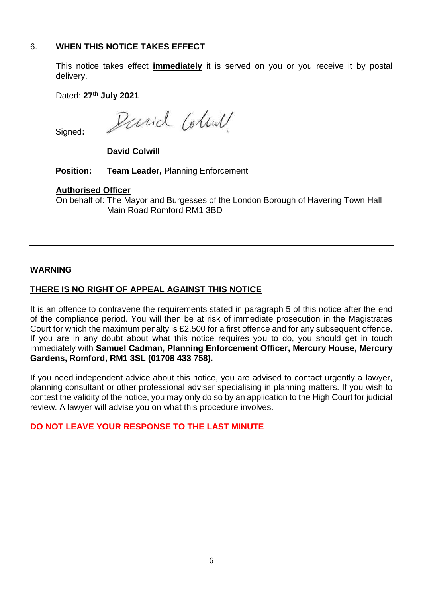# 6. **WHEN THIS NOTICE TAKES EFFECT**

 This notice takes effect **immediately** it is served on you or you receive it by postal delivery.

Dated: **27th July 2021** 

Parid Coline

Signed**:** 

**David Colwill** 

**Position: Team Leader,** Planning Enforcement

### **Authorised Officer**

On behalf of: The Mayor and Burgesses of the London Borough of Havering Town Hall Main Road Romford RM1 3BD

# **WARNING**

# **THERE IS NO RIGHT OF APPEAL AGAINST THIS NOTICE**

 It is an offence to contravene the requirements stated in paragraph 5 of this notice after the end of the compliance period. You will then be at risk of immediate prosecution in the Magistrates Court for which the maximum penalty is £2,500 for a first offence and for any subsequent offence. If you are in any doubt about what this notice requires you to do, you should get in touch immediately with **Samuel Cadman, Planning Enforcement Officer, Mercury House, Mercury Gardens, Romford, RM1 3SL (01708 433 758).** 

 If you need independent advice about this notice, you are advised to contact urgently a lawyer, planning consultant or other professional adviser specialising in planning matters. If you wish to contest the validity of the notice, you may only do so by an application to the High Court for judicial review. A lawyer will advise you on what this procedure involves.

# **DO NOT LEAVE YOUR RESPONSE TO THE LAST MINUTE**